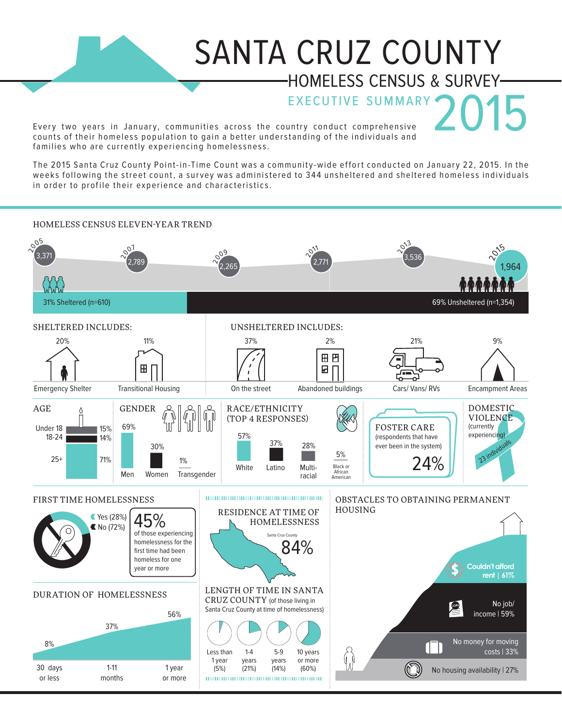## SANTA CRUZ COUNTY HOMELESS CENSUS & SURVEY

EXECUTIVE SUMMARY 2015 Every two years in January, communities across the country conduct comprehensive counts of their homeless population to gain a better understanding of the individuals and families who are currently experiencing homelessness.

The 2015 Santa Cruz County Point-in-Time Count was a community-wide effort conducted on January 22, 2015. In the weeks following the street count, a survey was administered to 344 unsheltered and sheltered homeless individuals in order to profile their experience and characteristics.

## ery two years in<br>
unts of their home<br>
e 2015 Santa Cruz<br>
eks following the<br>
order to profile the<br>
MELESS CENSUS<br>
MELESS CENSUS<br>
13<br>
MELESS CENSUS<br>
13<br>
13<br>
13<br>
13<br>
13<br>
15<br>
14<br>
14<br>
25<br>
25<br>
25<br>
25<br>
17<br>
20<br>
20<br>
20<br>
20<br>
20<br>
20<br> ery two years in<br>
unts of their home<br>
explore the curve of the curve of the curve<br>
explore to profile the<br>
order to profile the<br>
MELESS CENSUS<br>
MELESS CENSUS<br>
171<br>
171<br>
1818<br>
18-24<br>
18-24<br>
18-24<br>
18-24<br>
171%<br>
25+<br>
171%<br>
25 EXECUTE TEREN NOILIDER.<br>
STAR COULTY TEREN NOILING.<br>
THE 2015 Santa Cruz County Point-in-Time County of the individuals and<br>
The 2015 Santa Cruz County Point-in-Time County as a community-wide effort conducted on January 2 Particular Sumo are during<br>
a 2015 Santa Cruz<br>
eks following the<br>
order to profile the<br>
MELESS CENSUS<br>
31% Sheltered (n=610)<br>
ELTERED INCLUD<br>
20%<br>
Pargency Shelter<br>
E<br>
18-24<br>
25+<br>
14%<br>
25+<br>
14%<br>
25+<br>
14%<br>
25+<br>
27%<br>
27%<br>
27 HOMELESS CENSUS ELEVEN-YEAR TREND  $\sigma_{\mathcal{O}_{\mathcal{Q}}}$  $\sim$ <sup>3</sup>  $\sim^{\circ}$ <sup>07</sup>  $20^{15}$  $\sqrt{2^{11}}$  $\frac{\sqrt{009}}{2,265}$ 3,371 3,536 2,789 2,771 1,964 31% Sheltered (n=610) 69% Unsheltered (n=1,354) UNSHELTERED INCLUDES:<br>  $37\%$  2%<br>  $\begin{picture}(100,100) \put(0,0){\line(1,0){15}} \put(10,0){\line(1,0){15}} \put(10,0){\line(1,0){15}} \put(10,0){\line(1,0){15}} \put(10,0){\line(1,0){15}} \put(10,0){\line(1,0){15}} \put(10,0){\line(1,0){15}} \put(10,0){\line(1,0){15}} \put(10,0){\line(1,0){15}} \put(10,0){\line(1$ SHELTERED INCLUDES: UNSHELTERED INCLUDES: 20% 11% 37% 2% 21% 9% Transitional Housing on the street Abandoned buildings Cars/Vans/RVs<br>
GENDER  $\begin{pmatrix} 2 \\ 1 \\ 1 \\ 0 \end{pmatrix} \begin{pmatrix} 0 \\ 1 \\ 0 \end{pmatrix}$  RACE/ETHNICITY<br>
69%  $\begin{pmatrix} 3/% \\ 1 \\ 1 \end{pmatrix} \begin{pmatrix} 0 \\ 1 \\ 0 \end{pmatrix}$  RACE/ETHNICITY<br>
(TOP 4 RESPONSES) Emergency Shelter Transitional Housing On the street Abandoned buildings Cars/ Vans/ RVs Encampment Areas DOMESTIC AGE GENDER RACE/ETHNICITY  $\triangle$ VIOLENCE (TOP 4 RESPONSES) 69% (currently Under 18 FOSTER CARE 15% experiencing) 18-24 (respondents that have 14% 37% 28% 23 individuals 30% 5% 25+ 71% White Latino Multi- Black or Multi-African Men Women Transgender racialAmerican FIRST TIME HOMELESSNESS **EXECUTES A REAL EXECUTIVE CONSTACLES TO OBTAINING PERMANENT** 28 \*\*\* HOUSING RESIDENCE AT TIME OF  $45\%$  Yes (28%) 45% HOMELESSNESS  $N$  No (72%) of those experiencing 8+37+5637% Santa Cruz County homelessness for the 84% first time had been homeless for one **\$ Couldn't afford** year or more  **rent | 61%** LENGTH OF TIME IN SANTA DURATION OF HOMELESSNESS CRUZ COUNTY (of those living in No job/ Santa Cruz County at time of homelessness) **JOBS** income | 59% 56%  $000$ No money for moving 8%  $\Box$ costs | 33% Less than 1-4 5-9 10 years 1 year years years or more 30 days 1-11 (21%) 1 year (14%) (5%) (60%) No housing availability | 27% or less months or more 10000000000000000000000000000000000000